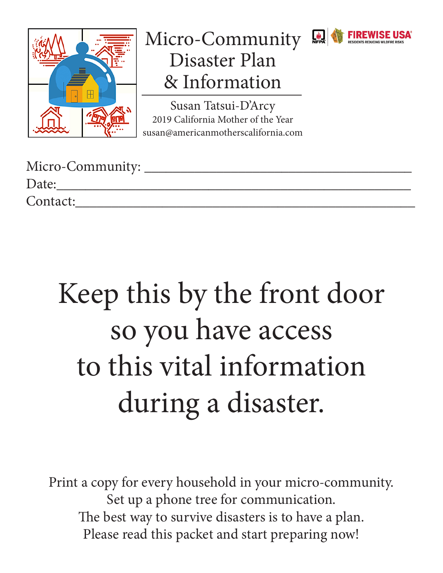

### Micro-Community Disaster Plan & Information

 $\frac{\hat{\phi}}{NFPA}$ 

Susan Tatsui-D'Arcy 2019 California Mother of the Year susan@americanmotherscalifornia.com

| Micro-Community: |  |
|------------------|--|
| Date:            |  |
| Contact:         |  |

# Keep this by the front door so you have access to this vital information during a disaster.

Print a copy for every household in your micro-community. Set up a phone tree for communication. The best way to survive disasters is to have a plan. Please read this packet and start preparing now!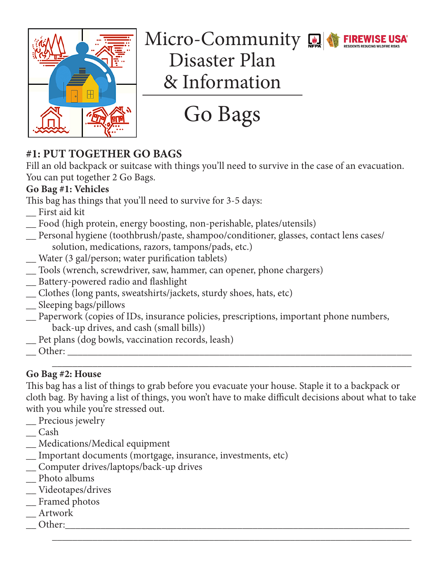

## Micro-Community



Disaster Plan & Information

Go Bags

### **#1: PUT TOGETHER GO BAGS**

Fill an old backpack or suitcase with things you'll need to survive in the case of an evacuation. You can put together 2 Go Bags.

### **Go Bag #1: Vehicles**

This bag has things that you'll need to survive for 3-5 days:

- \_\_ First aid kit
- \_\_ Food (high protein, energy boosting, non-perishable, plates/utensils)
- \_\_ Personal hygiene (toothbrush/paste, shampoo/conditioner, glasses, contact lens cases/ solution, medications, razors, tampons/pads, etc.)
- \_\_ Water (3 gal/person; water purification tablets)
- \_\_ Tools (wrench, screwdriver, saw, hammer, can opener, phone chargers)
- \_\_ Battery-powered radio and flashlight
- \_\_ Clothes (long pants, sweatshirts/jackets, sturdy shoes, hats, etc)
- \_\_ Sleeping bags/pillows
- \_\_ Paperwork (copies of IDs, insurance policies, prescriptions, important phone numbers, back-up drives, and cash (small bills))
- \_\_ Pet plans (dog bowls, vaccination records, leash)
- \_\_ Other: \_\_\_\_\_\_\_\_\_\_\_\_\_\_\_\_\_\_\_\_\_\_\_\_\_\_\_\_\_\_\_\_\_\_\_\_\_\_\_\_\_\_\_\_\_\_\_\_\_\_\_\_\_\_\_\_\_\_\_\_\_\_\_\_\_\_\_\_

#### \_\_\_\_\_\_\_\_\_\_\_\_\_\_\_\_\_\_\_\_\_\_\_\_\_\_\_\_\_\_\_\_\_\_\_\_\_\_\_\_\_\_\_\_\_\_\_\_\_\_\_\_\_\_\_\_\_\_\_\_\_\_\_\_\_\_\_\_\_\_\_ **Go Bag #2: House**

This bag has a list of things to grab before you evacuate your house. Staple it to a backpack or cloth bag. By having a list of things, you won't have to make difficult decisions about what to take with you while you're stressed out.

\_\_\_\_\_\_\_\_\_\_\_\_\_\_\_\_\_\_\_\_\_\_\_\_\_\_\_\_\_\_\_\_\_\_\_\_\_\_\_\_\_\_\_\_\_\_\_\_\_\_\_\_\_\_\_\_\_\_\_\_\_\_\_\_\_\_\_\_\_\_\_

- \_\_ Precious jewelry
- \_\_ Cash
- \_\_ Medications/Medical equipment
- \_\_ Important documents (mortgage, insurance, investments, etc)
- \_\_ Computer drives/laptops/back-up drives
- \_\_ Photo albums
- \_\_ Videotapes/drives
- \_\_ Framed photos
- \_\_ Artwork
- Other: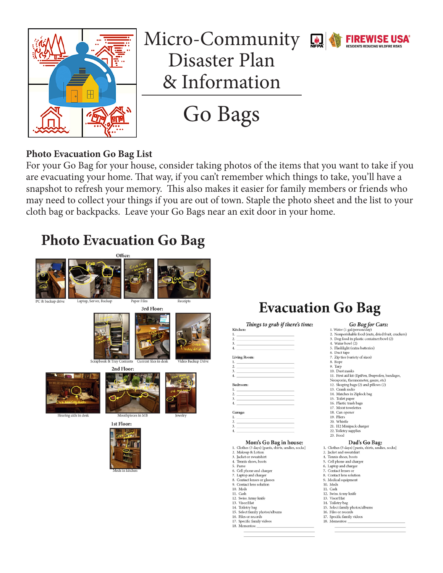

### Micro-Community Real Wester FIREWISE USA Disaster Plan & Information



Go Bags

#### **Photo Evacuation Go Bag List**

For your Go Bag for your house, consider taking photos of the items that you want to take if you are evacuating your home. That way, if you can't remember which things to take, you'll have a snapshot to refresh your memory. This also makes it easier for family members or friends who may need to collect your things if you are out of town. Staple the photo sheet and the list to your cloth bag or backpacks. Leave your Go Bags near an exit door in your home.

### **Photo Evacuation Go Bag**



### **Evacuation Go Bag**

#### Go Bag for Cars: 1. Water (1 gal/person/day)<br>2. Nonperishable food (nuts, dried fruit, crackers) 3. Dog food in plastic container/bowl (2) 4. Water bowl (2)<br>5. Flashlight (extra batteries) 6. Duct tape<br>7. Zip ties (variety of sizes) 8. Rope 9. Tarp<br>10. Dust masks 10. Dust masks<br>11. First aid kit (EpiPen, Ibuprofen, bandages,<br>Neosporin, thermometer, gauze, etc) 12. Sleeping bags (2) and pillows (2) 13. Crank radio<br>14. Matches in Ziplock bag 15. Toilet paper<br>16. Plastic trash bags 17. Moist towelettes 18. Can opener<br>19. Pliers 20 Whistle 21. H<sub>2</sub> Minipack charger 22. Toiletry supplies 23. Food Dad's Go Bag: Let S GO Da<br>
1. Clothes (3 days) [pants, shirts, u<br>
2. Jacket and sweatshirt<br>
4. Tennis shoes, boots dies, socks] 5. Cell phone and charger Laptop and charger 7. Contact lenses or

- 8. Contact lens solution<br>9. Medical equipment
- 10 Meds
- 11. Cash
- 12. Swiss Army knife
- 13. Visor/Hat<br>14. Toiletry bag
- 15. Select family photos/albums
- 16. Files or records
- 16. Files of records<br>17. Specific family videos<br>18. Mementos: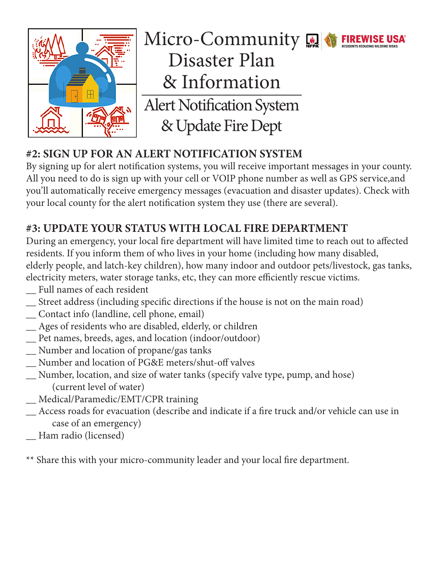

Micro-Community Disaster Plan & Information Alert Notification System & Update Fire Dept

### **#2: SIGN UP FOR AN ALERT NOTIFICATION SYSTEM**

By signing up for alert notification systems, you will receive important messages in your county. All you need to do is sign up with your cell or VOIP phone number as well as GPS service,and you'll automatically receive emergency messages (evacuation and disaster updates). Check with your local county for the alert notification system they use (there are several).

### **#3: UPDATE YOUR STATUS WITH LOCAL FIRE DEPARTMENT**

During an emergency, your local fire department will have limited time to reach out to affected residents. If you inform them of who lives in your home (including how many disabled, elderly people, and latch-key children), how many indoor and outdoor pets/livestock, gas tanks, electricity meters, water storage tanks, etc, they can more efficiently rescue victims.

- \_\_ Full names of each resident
- \_\_ Street address (including specific directions if the house is not on the main road)
- \_\_ Contact info (landline, cell phone, email)
- \_\_ Ages of residents who are disabled, elderly, or children
- \_\_ Pet names, breeds, ages, and location (indoor/outdoor)
- \_\_ Number and location of propane/gas tanks
- \_\_ Number and location of PG&E meters/shut-off valves
- \_\_ Number, location, and size of water tanks (specify valve type, pump, and hose) (current level of water)
- \_\_ Medical/Paramedic/EMT/CPR training
- \_\_ Access roads for evacuation (describe and indicate if a fire truck and/or vehicle can use in case of an emergency)
- \_\_ Ham radio (licensed)

\*\* Share this with your micro-community leader and your local fire department.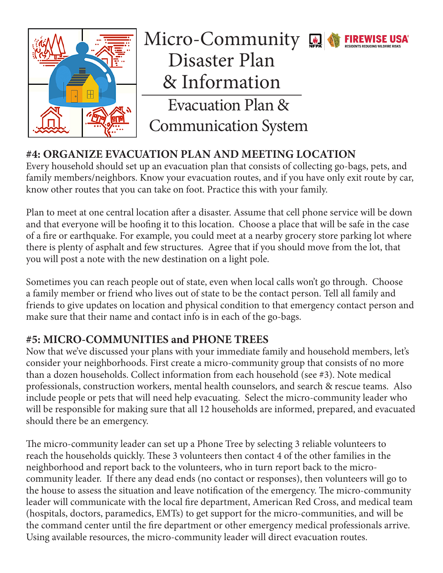

### Micro-Community **A FIREWISE USA** Disaster Plan & Information Evacuation Plan & Communication System

### **#4: ORGANIZE EVACUATION PLAN AND MEETING LOCATION**

Every household should set up an evacuation plan that consists of collecting go-bags, pets, and family members/neighbors. Know your evacuation routes, and if you have only exit route by car, know other routes that you can take on foot. Practice this with your family.

Plan to meet at one central location after a disaster. Assume that cell phone service will be down and that everyone will be hoofing it to this location. Choose a place that will be safe in the case of a fire or earthquake. For example, you could meet at a nearby grocery store parking lot where there is plenty of asphalt and few structures. Agree that if you should move from the lot, that you will post a note with the new destination on a light pole.

Sometimes you can reach people out of state, even when local calls won't go through. Choose a family member or friend who lives out of state to be the contact person. Tell all family and friends to give updates on location and physical condition to that emergency contact person and make sure that their name and contact info is in each of the go-bags.

### **#5: MICRO-COMMUNITIES and PHONE TREES**

Now that we've discussed your plans with your immediate family and household members, let's consider your neighborhoods. First create a micro-community group that consists of no more than a dozen households. Collect information from each household (see #3). Note medical professionals, construction workers, mental health counselors, and search & rescue teams. Also include people or pets that will need help evacuating. Select the micro-community leader who will be responsible for making sure that all 12 households are informed, prepared, and evacuated should there be an emergency.

The micro-community leader can set up a Phone Tree by selecting 3 reliable volunteers to reach the households quickly. These 3 volunteers then contact 4 of the other families in the neighborhood and report back to the volunteers, who in turn report back to the microcommunity leader. If there any dead ends (no contact or responses), then volunteers will go to the house to assess the situation and leave notification of the emergency. The micro-community leader will communicate with the local fire department, American Red Cross, and medical team (hospitals, doctors, paramedics, EMTs) to get support for the micro-communities, and will be the command center until the fire department or other emergency medical professionals arrive. Using available resources, the micro-community leader will direct evacuation routes.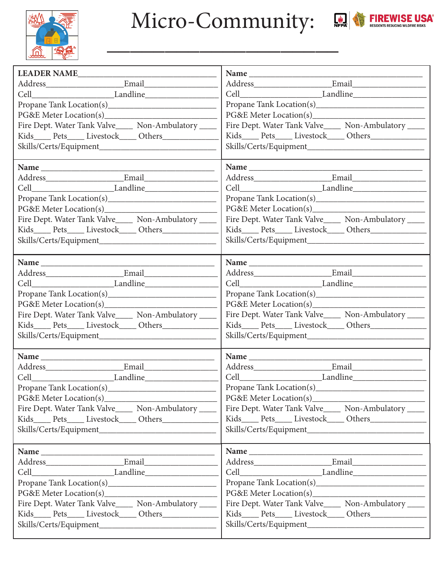

Micro-Community: **Quades of FIREWISE USA** 



| LEADER NAME                                              | Name                                                   |  |
|----------------------------------------------------------|--------------------------------------------------------|--|
|                                                          |                                                        |  |
|                                                          |                                                        |  |
|                                                          |                                                        |  |
| PG&E Meter Location(s)                                   | PG&E Meter Location(s)                                 |  |
| Fire Dept. Water Tank Valve____ Non-Ambulatory ____      | Fire Dept. Water Tank Valve_____ Non-Ambulatory ____   |  |
| Kids_____ Pets_____ Livestock_____ Others_____________   | Kids_____ Pets_____ Livestock_____ Others_____________ |  |
|                                                          |                                                        |  |
|                                                          |                                                        |  |
|                                                          |                                                        |  |
|                                                          |                                                        |  |
|                                                          |                                                        |  |
|                                                          |                                                        |  |
| PG&E Meter Location(s)                                   |                                                        |  |
| Fire Dept. Water Tank Valve_____ Non-Ambulatory ____     | Fire Dept. Water Tank Valve_____ Non-Ambulatory ____   |  |
|                                                          |                                                        |  |
|                                                          |                                                        |  |
|                                                          |                                                        |  |
|                                                          | Name                                                   |  |
|                                                          |                                                        |  |
|                                                          |                                                        |  |
|                                                          |                                                        |  |
| PG&E Meter Location(s)                                   |                                                        |  |
| Fire Dept. Water Tank Valve_____ Non-Ambulatory ____     | Fire Dept. Water Tank Valve_____ Non-Ambulatory ____   |  |
| Kids_____ Pets_____ Livestock_____ Others_____________   | Kids_____ Pets_____ Livestock_____ Others_____________ |  |
|                                                          |                                                        |  |
|                                                          |                                                        |  |
|                                                          |                                                        |  |
|                                                          |                                                        |  |
| Cell Landline                                            |                                                        |  |
|                                                          |                                                        |  |
|                                                          |                                                        |  |
| Fire Dept. Water Tank Valve_____ Non-Ambulatory ____     | Fire Dept. Water Tank Valve_____ Non-Ambulatory ____   |  |
|                                                          |                                                        |  |
|                                                          |                                                        |  |
|                                                          |                                                        |  |
|                                                          |                                                        |  |
|                                                          |                                                        |  |
|                                                          |                                                        |  |
|                                                          |                                                        |  |
|                                                          |                                                        |  |
| Fire Dept. Water Tank Valve_____ Non-Ambulatory _____    | Fire Dept. Water Tank Valve_____ Non-Ambulatory ____   |  |
| Kids_____ Pets_____ Livestock_____ Others_______________ |                                                        |  |
|                                                          |                                                        |  |
|                                                          |                                                        |  |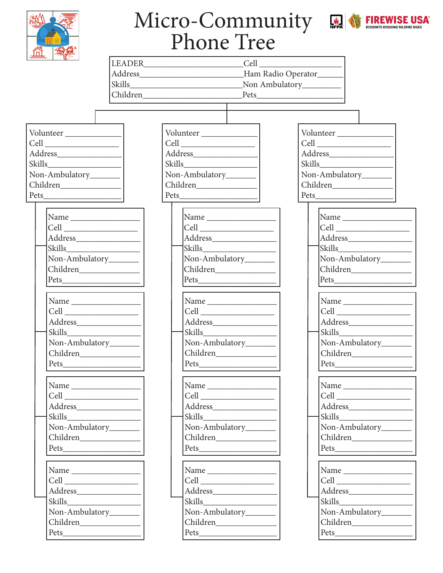

# Micro-Community RENEWISE USA



| <b>合 風食</b>                                                                     | T HOME TICE                                                                                                                                                                                                                                                                                                                                                                                                                                                                                                                                                                                                 |                                                                                                                                                                                                                                                                                                                                                                                                                                                                                     |
|---------------------------------------------------------------------------------|-------------------------------------------------------------------------------------------------------------------------------------------------------------------------------------------------------------------------------------------------------------------------------------------------------------------------------------------------------------------------------------------------------------------------------------------------------------------------------------------------------------------------------------------------------------------------------------------------------------|-------------------------------------------------------------------------------------------------------------------------------------------------------------------------------------------------------------------------------------------------------------------------------------------------------------------------------------------------------------------------------------------------------------------------------------------------------------------------------------|
|                                                                                 | LEADER Cell Cell                                                                                                                                                                                                                                                                                                                                                                                                                                                                                                                                                                                            |                                                                                                                                                                                                                                                                                                                                                                                                                                                                                     |
|                                                                                 |                                                                                                                                                                                                                                                                                                                                                                                                                                                                                                                                                                                                             |                                                                                                                                                                                                                                                                                                                                                                                                                                                                                     |
|                                                                                 |                                                                                                                                                                                                                                                                                                                                                                                                                                                                                                                                                                                                             | Non Ambulatory__________                                                                                                                                                                                                                                                                                                                                                                                                                                                            |
|                                                                                 |                                                                                                                                                                                                                                                                                                                                                                                                                                                                                                                                                                                                             |                                                                                                                                                                                                                                                                                                                                                                                                                                                                                     |
|                                                                                 |                                                                                                                                                                                                                                                                                                                                                                                                                                                                                                                                                                                                             |                                                                                                                                                                                                                                                                                                                                                                                                                                                                                     |
|                                                                                 |                                                                                                                                                                                                                                                                                                                                                                                                                                                                                                                                                                                                             |                                                                                                                                                                                                                                                                                                                                                                                                                                                                                     |
| Volunteer                                                                       | Volunteer                                                                                                                                                                                                                                                                                                                                                                                                                                                                                                                                                                                                   | Volunteer                                                                                                                                                                                                                                                                                                                                                                                                                                                                           |
|                                                                                 | $\text{Cell} \begin{tabular}{c} \multicolumn{2}{c} {\text{Cell}} \end{tabular}$                                                                                                                                                                                                                                                                                                                                                                                                                                                                                                                             | $\mbox{Cell} \begin{tabular}{c} \multicolumn{3}{c}{} \multicolumn{3}{c}{} \multicolumn{3}{c}{} \multicolumn{3}{c}{} \multicolumn{3}{c}{} \multicolumn{3}{c}{} \multicolumn{3}{c}{} \multicolumn{3}{c}{} \multicolumn{3}{c}{} \multicolumn{3}{c}{} \multicolumn{3}{c}{} \multicolumn{3}{c}{} \multicolumn{3}{c}{} \multicolumn{3}{c}{} \multicolumn{3}{c}{} \multicolumn{3}{c}{} \multicolumn{3}{c}{} \multicolumn{3}{c}{} \multicolumn{3}{c}{} \multicolumn{3}{c}{} \multicolumn{3$ |
|                                                                                 |                                                                                                                                                                                                                                                                                                                                                                                                                                                                                                                                                                                                             |                                                                                                                                                                                                                                                                                                                                                                                                                                                                                     |
| Skills<br>Non-Ambulatory_______                                                 | Non-Ambulatory______                                                                                                                                                                                                                                                                                                                                                                                                                                                                                                                                                                                        | Non-Ambulatory_______                                                                                                                                                                                                                                                                                                                                                                                                                                                               |
| Children                                                                        | Children                                                                                                                                                                                                                                                                                                                                                                                                                                                                                                                                                                                                    | Children                                                                                                                                                                                                                                                                                                                                                                                                                                                                            |
| Pets                                                                            |                                                                                                                                                                                                                                                                                                                                                                                                                                                                                                                                                                                                             |                                                                                                                                                                                                                                                                                                                                                                                                                                                                                     |
|                                                                                 |                                                                                                                                                                                                                                                                                                                                                                                                                                                                                                                                                                                                             |                                                                                                                                                                                                                                                                                                                                                                                                                                                                                     |
| Name                                                                            |                                                                                                                                                                                                                                                                                                                                                                                                                                                                                                                                                                                                             | Name                                                                                                                                                                                                                                                                                                                                                                                                                                                                                |
|                                                                                 |                                                                                                                                                                                                                                                                                                                                                                                                                                                                                                                                                                                                             | Cell                                                                                                                                                                                                                                                                                                                                                                                                                                                                                |
|                                                                                 |                                                                                                                                                                                                                                                                                                                                                                                                                                                                                                                                                                                                             |                                                                                                                                                                                                                                                                                                                                                                                                                                                                                     |
|                                                                                 |                                                                                                                                                                                                                                                                                                                                                                                                                                                                                                                                                                                                             |                                                                                                                                                                                                                                                                                                                                                                                                                                                                                     |
| Non-Ambulatory______                                                            | Non-Ambulatory_______                                                                                                                                                                                                                                                                                                                                                                                                                                                                                                                                                                                       | Non-Ambulatory_______                                                                                                                                                                                                                                                                                                                                                                                                                                                               |
| Children                                                                        |                                                                                                                                                                                                                                                                                                                                                                                                                                                                                                                                                                                                             |                                                                                                                                                                                                                                                                                                                                                                                                                                                                                     |
|                                                                                 |                                                                                                                                                                                                                                                                                                                                                                                                                                                                                                                                                                                                             |                                                                                                                                                                                                                                                                                                                                                                                                                                                                                     |
|                                                                                 |                                                                                                                                                                                                                                                                                                                                                                                                                                                                                                                                                                                                             | Name                                                                                                                                                                                                                                                                                                                                                                                                                                                                                |
| Cell                                                                            | $\text{Cell} \begin{tabular}{c} \multicolumn{2}{c} {\text{Cell}} \end{tabular}$                                                                                                                                                                                                                                                                                                                                                                                                                                                                                                                             |                                                                                                                                                                                                                                                                                                                                                                                                                                                                                     |
|                                                                                 | $\large \bf Address \underline{\hspace{1cm}} \underline{\hspace{1cm}}$                                                                                                                                                                                                                                                                                                                                                                                                                                                                                                                                      |                                                                                                                                                                                                                                                                                                                                                                                                                                                                                     |
|                                                                                 |                                                                                                                                                                                                                                                                                                                                                                                                                                                                                                                                                                                                             | Skills                                                                                                                                                                                                                                                                                                                                                                                                                                                                              |
| Non-Ambulatory_______                                                           | Non-Ambulatory_______                                                                                                                                                                                                                                                                                                                                                                                                                                                                                                                                                                                       | Non-Ambulatory_______                                                                                                                                                                                                                                                                                                                                                                                                                                                               |
| Children                                                                        | Children                                                                                                                                                                                                                                                                                                                                                                                                                                                                                                                                                                                                    | Children                                                                                                                                                                                                                                                                                                                                                                                                                                                                            |
| Pets                                                                            | $\text{Pets}\underline{\hspace{2cm}}\underline{\hspace{2cm}}\underline{\hspace{2cm}}\underline{\hspace{2cm}}\underline{\hspace{2cm}}\underline{\hspace{2cm}}\underline{\hspace{2cm}}\underline{\hspace{2cm}}\underline{\hspace{2cm}}\underline{\hspace{2cm}}\underline{\hspace{2cm}}\underline{\hspace{2cm}}\underline{\hspace{2cm}}\underline{\hspace{2cm}}\underline{\hspace{2cm}}\underline{\hspace{2cm}}\underline{\hspace{2cm}}\underline{\hspace{2cm}}\underline{\hspace{2cm}}\underline{\hspace{2cm}}\underline{\hspace{2cm}}\underline{\hspace{2cm}}\underline{\hspace{2cm}}\underline{\hspace{2cm$ |                                                                                                                                                                                                                                                                                                                                                                                                                                                                                     |
|                                                                                 | Name                                                                                                                                                                                                                                                                                                                                                                                                                                                                                                                                                                                                        | Name                                                                                                                                                                                                                                                                                                                                                                                                                                                                                |
|                                                                                 |                                                                                                                                                                                                                                                                                                                                                                                                                                                                                                                                                                                                             |                                                                                                                                                                                                                                                                                                                                                                                                                                                                                     |
|                                                                                 |                                                                                                                                                                                                                                                                                                                                                                                                                                                                                                                                                                                                             |                                                                                                                                                                                                                                                                                                                                                                                                                                                                                     |
|                                                                                 |                                                                                                                                                                                                                                                                                                                                                                                                                                                                                                                                                                                                             |                                                                                                                                                                                                                                                                                                                                                                                                                                                                                     |
| Non-Ambulatory_______                                                           | Non-Ambulatory_______                                                                                                                                                                                                                                                                                                                                                                                                                                                                                                                                                                                       | Non-Ambulatory_______                                                                                                                                                                                                                                                                                                                                                                                                                                                               |
|                                                                                 |                                                                                                                                                                                                                                                                                                                                                                                                                                                                                                                                                                                                             | Children                                                                                                                                                                                                                                                                                                                                                                                                                                                                            |
|                                                                                 | Pets                                                                                                                                                                                                                                                                                                                                                                                                                                                                                                                                                                                                        |                                                                                                                                                                                                                                                                                                                                                                                                                                                                                     |
|                                                                                 |                                                                                                                                                                                                                                                                                                                                                                                                                                                                                                                                                                                                             |                                                                                                                                                                                                                                                                                                                                                                                                                                                                                     |
|                                                                                 |                                                                                                                                                                                                                                                                                                                                                                                                                                                                                                                                                                                                             | Name                                                                                                                                                                                                                                                                                                                                                                                                                                                                                |
| $\text{Cell} \begin{tabular}{c} \multicolumn{2}{c} {\text{Cell}} \end{tabular}$ | $\text{Cell} \begin{tabular}{c} \multicolumn{2}{c} {\text{Cell}} \end{tabular}$                                                                                                                                                                                                                                                                                                                                                                                                                                                                                                                             |                                                                                                                                                                                                                                                                                                                                                                                                                                                                                     |
|                                                                                 |                                                                                                                                                                                                                                                                                                                                                                                                                                                                                                                                                                                                             | Skills                                                                                                                                                                                                                                                                                                                                                                                                                                                                              |
| Non-Ambulatory_______                                                           | Non-Ambulatory_______                                                                                                                                                                                                                                                                                                                                                                                                                                                                                                                                                                                       | Non-Ambulatory_______                                                                                                                                                                                                                                                                                                                                                                                                                                                               |
| Children                                                                        |                                                                                                                                                                                                                                                                                                                                                                                                                                                                                                                                                                                                             |                                                                                                                                                                                                                                                                                                                                                                                                                                                                                     |
| Pets                                                                            | Pets                                                                                                                                                                                                                                                                                                                                                                                                                                                                                                                                                                                                        | Pets                                                                                                                                                                                                                                                                                                                                                                                                                                                                                |
|                                                                                 |                                                                                                                                                                                                                                                                                                                                                                                                                                                                                                                                                                                                             |                                                                                                                                                                                                                                                                                                                                                                                                                                                                                     |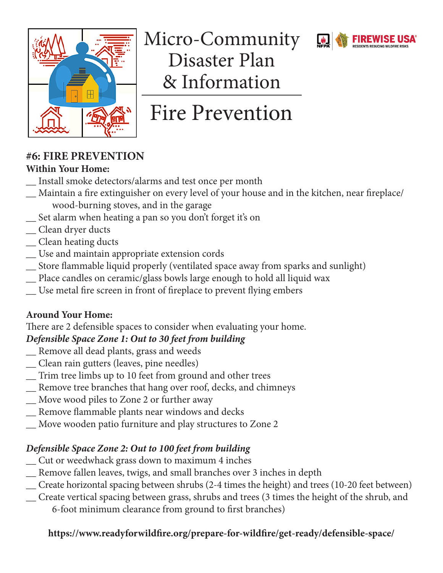

Micro-Community Disaster Plan & Information

# Fire Prevention

### **#6: FIRE PREVENTION**

### **Within Your Home:**

- \_\_ Install smoke detectors/alarms and test once per month
- \_\_ Maintain a fire extinguisher on every level of your house and in the kitchen, near fireplace/ wood-burning stoves, and in the garage
- \_\_ Set alarm when heating a pan so you don't forget it's on
- \_\_ Clean dryer ducts
- \_\_ Clean heating ducts
- \_\_ Use and maintain appropriate extension cords
- \_\_ Store flammable liquid properly (ventilated space away from sparks and sunlight)
- \_\_ Place candles on ceramic/glass bowls large enough to hold all liquid wax
- \_\_ Use metal fire screen in front of fireplace to prevent flying embers

### **Around Your Home:**

There are 2 defensible spaces to consider when evaluating your home.

### *Defensible Space Zone 1: Out to 30 feet from building*

- \_\_ Remove all dead plants, grass and weeds
- \_\_ Clean rain gutters (leaves, pine needles)
- \_\_ Trim tree limbs up to 10 feet from ground and other trees
- \_\_ Remove tree branches that hang over roof, decks, and chimneys
- \_\_ Move wood piles to Zone 2 or further away
- \_\_ Remove flammable plants near windows and decks
- \_\_ Move wooden patio furniture and play structures to Zone 2

### *Defensible Space Zone 2: Out to 100 feet from building*

- \_\_ Cut or weedwhack grass down to maximum 4 inches
- \_\_ Remove fallen leaves, twigs, and small branches over 3 inches in depth
- \_\_ Create horizontal spacing between shrubs (2-4 times the height) and trees (10-20 feet between)
- \_\_ Create vertical spacing between grass, shrubs and trees (3 times the height of the shrub, and 6-foot minimum clearance from ground to first branches)

### **https://www.readyforwildfire.org/prepare-for-wildfire/get-ready/defensible-space/**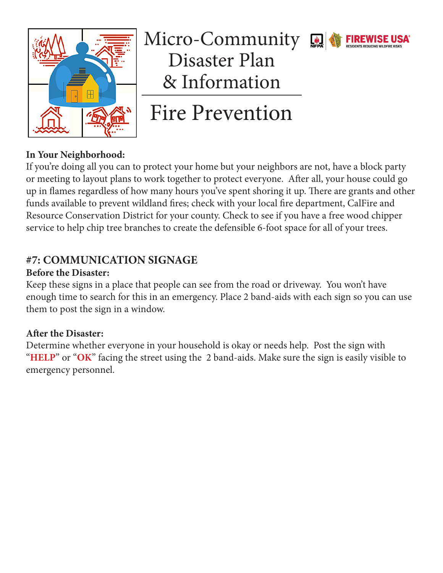

### Micro-Community Disaster Plan & Information



Fire Prevention

### **In Your Neighborhood:**

If you're doing all you can to protect your home but your neighbors are not, have a block party or meeting to layout plans to work together to protect everyone. After all, your house could go up in flames regardless of how many hours you've spent shoring it up. There are grants and other funds available to prevent wildland fires; check with your local fire department, CalFire and Resource Conservation District for your county. Check to see if you have a free wood chipper service to help chip tree branches to create the defensible 6-foot space for all of your trees.

### **#7: COMMUNICATION SIGNAGE**

### **Before the Disaster:**

Keep these signs in a place that people can see from the road or driveway. You won't have enough time to search for this in an emergency. Place 2 band-aids with each sign so you can use them to post the sign in a window.

#### **After the Disaster:**

Determine whether everyone in your household is okay or needs help. Post the sign with "HELP" or "OK" facing the street using the 2 band-aids. Make sure the sign is easily visible to emergency personnel.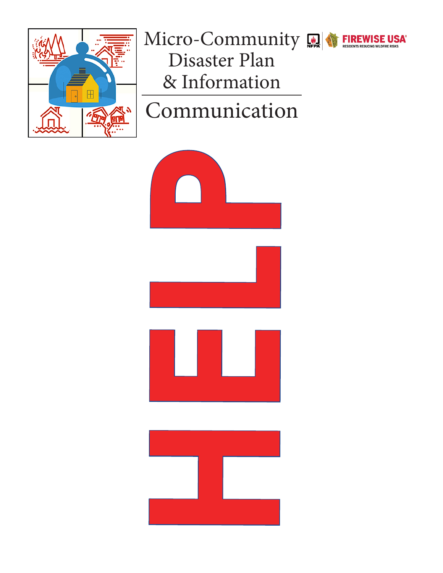

# Micro-Community Real Community Disaster Plan & Information

# Communication